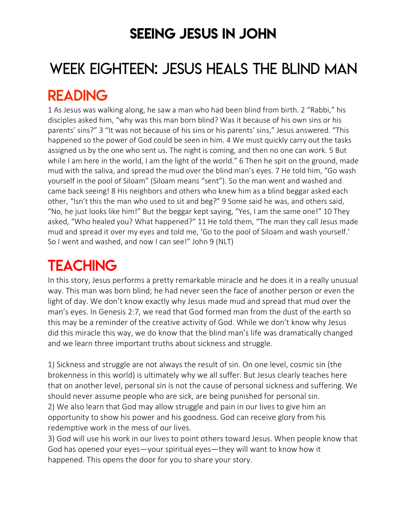### SEEING JESUS IN JOHN

# WEEK EIGHTEEN: JESUS HEALS THE BLIND MAN

### READING

1 As Jesus was walking along, he saw a man who had been blind from birth. 2 "Rabbi," his disciples asked him, "why was this man born blind? Was it because of his own sins or his parents' sins?" 3 "It was not because of his sins or his parents' sins," Jesus answered. "This happened so the power of God could be seen in him. 4 We must quickly carry out the tasks assigned us by the one who sent us. The night is coming, and then no one can work. 5 But while I am here in the world, I am the light of the world." 6 Then he spit on the ground, made mud with the saliva, and spread the mud over the blind man's eyes. 7 He told him, "Go wash yourself in the pool of Siloam" (Siloam means "sent"). So the man went and washed and came back seeing! 8 His neighbors and others who knew him as a blind beggar asked each other, "Isn't this the man who used to sit and beg?" 9 Some said he was, and others said, "No, he just looks like him!" But the beggar kept saying, "Yes, I am the same one!" 10 They asked, "Who healed you? What happened?" 11 He told them, "The man they call Jesus made mud and spread it over my eyes and told me, 'Go to the pool of Siloam and wash yourself.' So I went and washed, and now I can see!" John 9 (NLT)

# **TEACHING**

In this story, Jesus performs a pretty remarkable miracle and he does it in a really unusual way. This man was born blind; he had never seen the face of another person or even the light of day. We don't know exactly why Jesus made mud and spread that mud over the man's eyes. In Genesis 2:7, we read that God formed man from the dust of the earth so this may be a reminder of the creative activity of God. While we don't know why Jesus did this miracle this way, we do know that the blind man's life was dramatically changed and we learn three important truths about sickness and struggle.

1) Sickness and struggle are not always the result of sin. On one level, cosmic sin (the brokenness in this world) is ultimately why we all suffer. But Jesus clearly teaches here that on another level, personal sin is not the cause of personal sickness and suffering. We should never assume people who are sick, are being punished for personal sin. 2) We also learn that God may allow struggle and pain in our lives to give him an opportunity to show his power and his goodness. God can receive glory from his redemptive work in the mess of our lives.

3) God will use his work in our lives to point others toward Jesus. When people know that God has opened your eyes—your spiritual eyes—they will want to know how it happened. This opens the door for you to share your story.